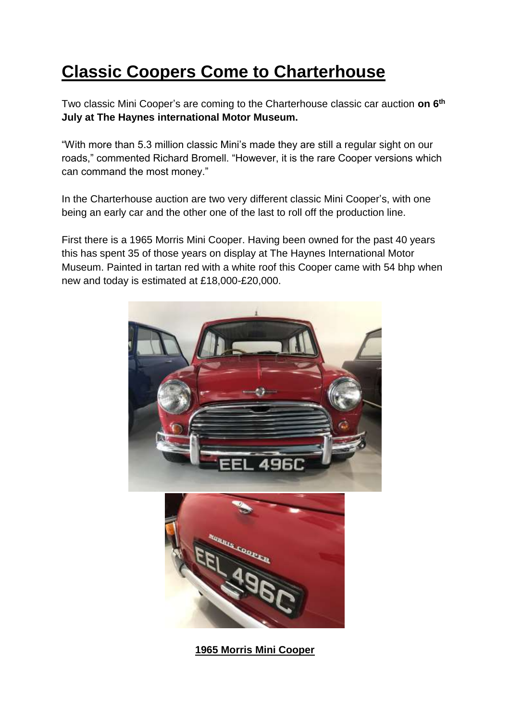## **Classic Coopers Come to Charterhouse**

Two classic Mini Cooper's are coming to the Charterhouse classic car auction **on 6th July at The Haynes international Motor Museum.**

"With more than 5.3 million classic Mini's made they are still a regular sight on our roads," commented Richard Bromell. "However, it is the rare Cooper versions which can command the most money."

In the Charterhouse auction are two very different classic Mini Cooper's, with one being an early car and the other one of the last to roll off the production line.

First there is a 1965 Morris Mini Cooper. Having been owned for the past 40 years this has spent 35 of those years on display at The Haynes International Motor Museum. Painted in tartan red with a white roof this Cooper came with 54 bhp when new and today is estimated at £18,000-£20,000.



**1965 Morris Mini Cooper**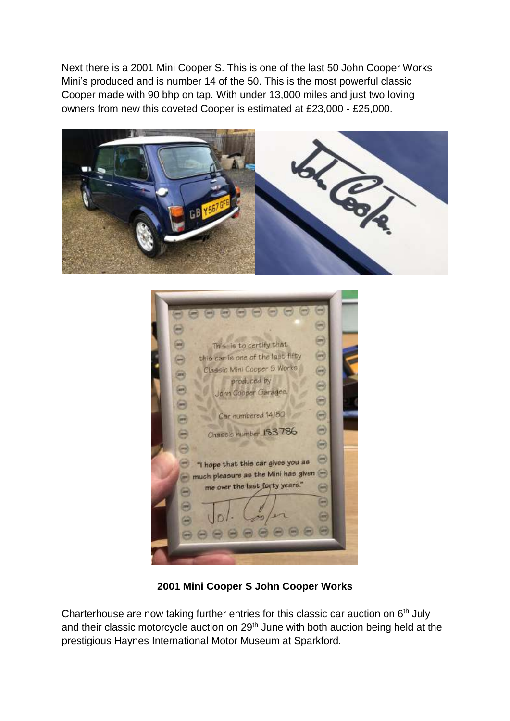Next there is a 2001 Mini Cooper S. This is one of the last 50 John Cooper Works Mini's produced and is number 14 of the 50. This is the most powerful classic Cooper made with 90 bhp on tap. With under 13,000 miles and just two loving owners from new this coveted Cooper is estimated at £23,000 - £25,000.



|            | 1996                                                                  |  |
|------------|-----------------------------------------------------------------------|--|
|            | This is to certify that                                               |  |
|            | this car is one of the last Rfty<br>ure.                              |  |
| <b>Jan</b> | Classic Mini Cooper 5 Works<br>pew.                                   |  |
|            | produced by<br>port <b>S</b>                                          |  |
| are.       | John Cooper Garages,<br><b>STR</b>                                    |  |
|            | Car numbered 14/50<br>œ                                               |  |
| gaw)       | ma j                                                                  |  |
|            | Chassis number 183786<br><b>APR</b>                                   |  |
|            | u<br>Θ                                                                |  |
| Ξ          | "I hope that this car gives you as<br>O                               |  |
| ш          | much pleasure as the Mini has given<br>me over the last forty years." |  |
|            | m<br>m                                                                |  |
|            | ×                                                                     |  |
| 謂          | <b>SPR</b>                                                            |  |
|            |                                                                       |  |
|            |                                                                       |  |
|            |                                                                       |  |

**2001 Mini Cooper S John Cooper Works**

Charterhouse are now taking further entries for this classic car auction on  $6<sup>th</sup>$  July and their classic motorcycle auction on 29<sup>th</sup> June with both auction being held at the prestigious Haynes International Motor Museum at Sparkford.